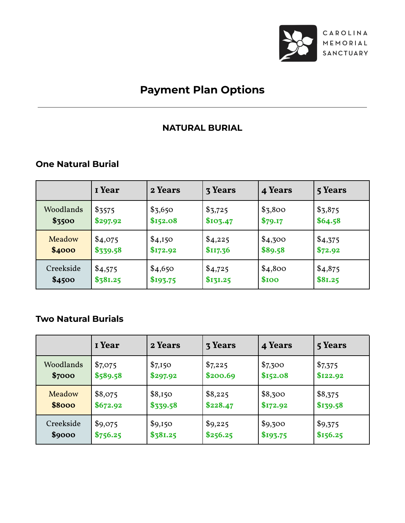

# **Payment Plan Options**

### **NATURAL BURIAL**

### **One Natural Burial**

|           | <b>I</b> Year | 2 Years  | <b>3 Years</b> | 4 Years | 5 Years |
|-----------|---------------|----------|----------------|---------|---------|
| Woodlands | \$3575        | \$3,650  | \$3,725        | \$3,800 | \$3,875 |
| \$3500    | \$297.92      | \$152.08 | \$103.47       | \$79.17 | \$64.58 |
| Meadow    | \$4,075       | \$4,150  | \$4,225        | \$4,300 | \$4,375 |
| \$4000    | \$339.58      | \$172.92 | \$117.36       | \$89.58 | \$72.92 |
| Creekside | \$4,575       | \$4,650  | \$4,725        | \$4,800 | \$4,875 |
| \$4500    | \$381.25      | \$193.75 | \$131.25       | \$100   | \$81.25 |

### **Two Natural Burials**

|           | I Year   | 2 Years  | <b>3 Years</b> | 4 Years  | 5 Years  |
|-----------|----------|----------|----------------|----------|----------|
| Woodlands | \$7,075  | \$7,150  | \$7,225        | \$7,300  | \$7,375  |
| \$7000    | \$589.58 | \$297.92 | \$200.69       | \$152.08 | \$122.92 |
| Meadow    | \$8,075  | \$8,150  | \$8,225        | \$8,300  | \$8,375  |
| \$8000    | \$672.92 | \$339.58 | \$228.47       | \$172.92 | \$139.58 |
| Creekside | \$9,075  | \$9,150  | \$9,225        | \$9,300  | \$9,375  |
| \$9000    | \$756.25 | \$381.25 | \$256.25       | \$193.75 | \$156.25 |